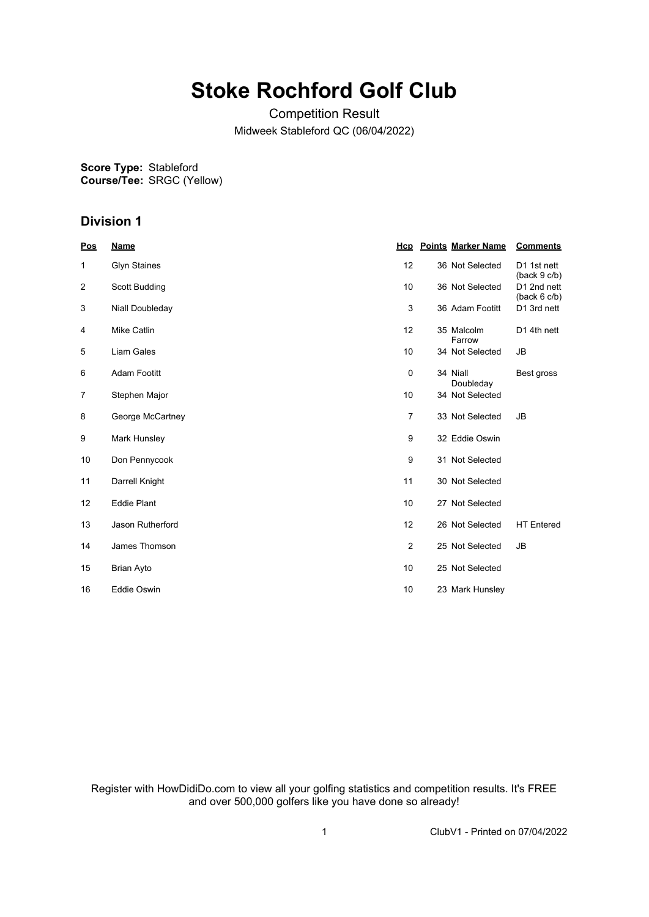# **Stoke Rochford Golf Club**

Competition Result Midweek Stableford QC (06/04/2022)

**Score Type: Course/Tee:** Stableford SRGC (Yellow)

## **Division 1**

| Pos            | <b>Name</b>         | Hcp            | <b>Points Marker Name</b> | <b>Comments</b>             |
|----------------|---------------------|----------------|---------------------------|-----------------------------|
| 1              | <b>Glyn Staines</b> | 12             | 36 Not Selected           | D1 1st nett<br>(back 9 c/b) |
| $\overline{2}$ | Scott Budding       | 10             | 36 Not Selected           | D1 2nd nett<br>(back 6 c/b) |
| 3              | Niall Doubleday     | 3              | 36 Adam Footitt           | D1 3rd nett                 |
| 4              | Mike Catlin         | 12             | 35 Malcolm<br>Farrow      | D1 4th nett                 |
| 5              | Liam Gales          | 10             | 34 Not Selected           | <b>JB</b>                   |
| 6              | <b>Adam Footitt</b> | $\mathbf 0$    | 34 Niall<br>Doubleday     | Best gross                  |
| 7              | Stephen Major       | 10             | 34 Not Selected           |                             |
| 8              | George McCartney    | $\overline{7}$ | 33 Not Selected           | <b>JB</b>                   |
| 9              | Mark Hunsley        | 9              | 32 Eddie Oswin            |                             |
| 10             | Don Pennycook       | 9              | 31 Not Selected           |                             |
| 11             | Darrell Knight      | 11             | 30 Not Selected           |                             |
| 12             | <b>Eddie Plant</b>  | 10             | 27 Not Selected           |                             |
| 13             | Jason Rutherford    | 12             | 26 Not Selected           | <b>HT</b> Entered           |
| 14             | James Thomson       | $\overline{2}$ | 25 Not Selected           | <b>JB</b>                   |
| 15             | <b>Brian Ayto</b>   | 10             | 25 Not Selected           |                             |
| 16             | <b>Eddie Oswin</b>  | 10             | 23 Mark Hunsley           |                             |

Register with HowDidiDo.com to view all your golfing statistics and competition results. It's FREE and over 500,000 golfers like you have done so already!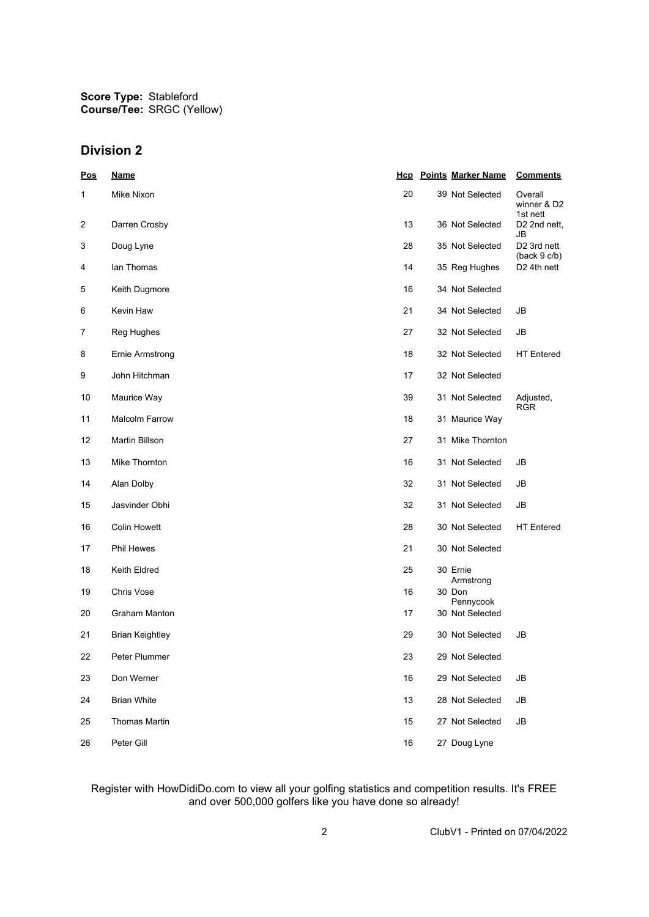**Score Type:** Stableford **Course/Tee:** SRGC (Yellow)

### **Division 2**

| Pos | <b>Name</b>            |    | <b>Hcp</b> Points Marker Name | <b>Comments</b>                    |
|-----|------------------------|----|-------------------------------|------------------------------------|
| 1   | Mike Nixon             | 20 | 39 Not Selected               | Overall<br>winner & D2<br>1st nett |
| 2   | Darren Crosby          | 13 | 36 Not Selected               | D2 2nd nett,<br>JB                 |
| 3   | Doug Lyne              | 28 | 35 Not Selected               | D2 3rd nett<br>(back 9 c/b)        |
| 4   | lan Thomas             | 14 | 35 Reg Hughes                 | D <sub>2</sub> 4th nett            |
| 5   | Keith Dugmore          | 16 | 34 Not Selected               |                                    |
| 6   | Kevin Haw              | 21 | 34 Not Selected               | JB                                 |
| 7   | Reg Hughes             | 27 | 32 Not Selected               | JB                                 |
| 8   | Ernie Armstrong        | 18 | 32 Not Selected               | <b>HT</b> Entered                  |
| 9   | John Hitchman          | 17 | 32 Not Selected               |                                    |
| 10  | Maurice Way            | 39 | 31 Not Selected               | Adjusted,<br><b>RGR</b>            |
| 11  | <b>Malcolm Farrow</b>  | 18 | 31 Maurice Way                |                                    |
| 12  | Martin Billson         | 27 | 31 Mike Thornton              |                                    |
| 13  | Mike Thornton          | 16 | 31 Not Selected               | JB                                 |
| 14  | Alan Dolby             | 32 | 31 Not Selected               | JB                                 |
| 15  | Jasvinder Obhi         | 32 | 31 Not Selected               | JB                                 |
| 16  | <b>Colin Howett</b>    | 28 | 30 Not Selected               | <b>HT</b> Entered                  |
| 17  | Phil Hewes             | 21 | 30 Not Selected               |                                    |
| 18  | Keith Eldred           | 25 | 30 Ernie<br>Armstrong         |                                    |
| 19  | Chris Vose             | 16 | 30 Don<br>Pennycook           |                                    |
| 20  | Graham Manton          | 17 | 30 Not Selected               |                                    |
| 21  | <b>Brian Keightley</b> | 29 | 30 Not Selected               | JB                                 |
| 22  | Peter Plummer          | 23 | 29 Not Selected               |                                    |
| 23  | Don Werner             | 16 | 29 Not Selected               | JB                                 |
| 24  | <b>Brian White</b>     | 13 | 28 Not Selected               | JB                                 |
| 25  | <b>Thomas Martin</b>   | 15 | 27 Not Selected               | JB                                 |
| 26  | Peter Gill             | 16 | 27 Doug Lyne                  |                                    |

#### Register with HowDidiDo.com to view all your golfing statistics and competition results. It's FREE and over 500,000 golfers like you have done so already!